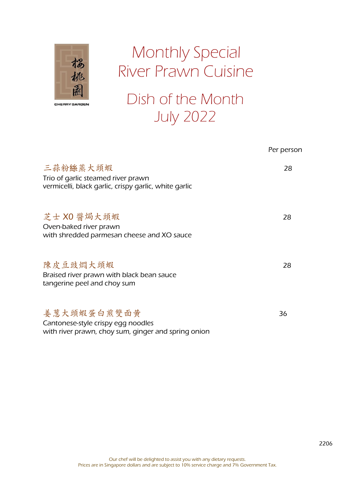

# Monthly Special River Prawn Cuisine

Dish of the Month July 2022

|                                                                                                          | Per person |
|----------------------------------------------------------------------------------------------------------|------------|
| 三蒜粉絲蒸大頭蝦<br>Trio of garlic steamed river prawn<br>vermicelli, black garlic, crispy garlic, white garlic  | 28         |
| 芝士 XO 醬焗大頭蝦<br>Oven-baked river prawn<br>with shredded parmesan cheese and XO sauce                      | 28         |
| 陳皮豆豉燜大頭蝦<br>Braised river prawn with black bean sauce<br>tangerine peel and choy sum                     | 28         |
| 姜葱大頭蝦蛋白煎雙面黄<br>Cantonese-style crispy egg noodles<br>with river prawn, choy sum, ginger and spring onion | 36         |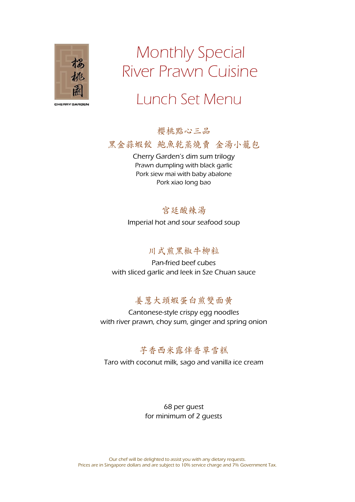

# Monthly Special River Prawn Cuisine

### Lunch Set Menu

櫻桃點心三品

黑金蒜蝦餃, 鮑魚乾蒸燒賣, 金湯小籠包

Cherry Garden's dim sum trilogy Prawn dumpling with black garlic Pork siew mai with baby abalone Pork xiao long bao

#### 宫廷酸辣汤

Imperial hot and sour seafood soup

#### 川式煎黑椒牛柳粒

Pan-fried beef cubes with sliced garlic and leek in Sze Chuan sauce

### 姜葱大頭蝦蛋白煎雙面黄

Cantonese-style crispy egg noodles with river prawn, choy sum, ginger and spring onion

### 芋香西米露伴香草雪糕

Taro with coconut milk, sago and vanilla ice cream

68 per guest for minimum of 2 guests